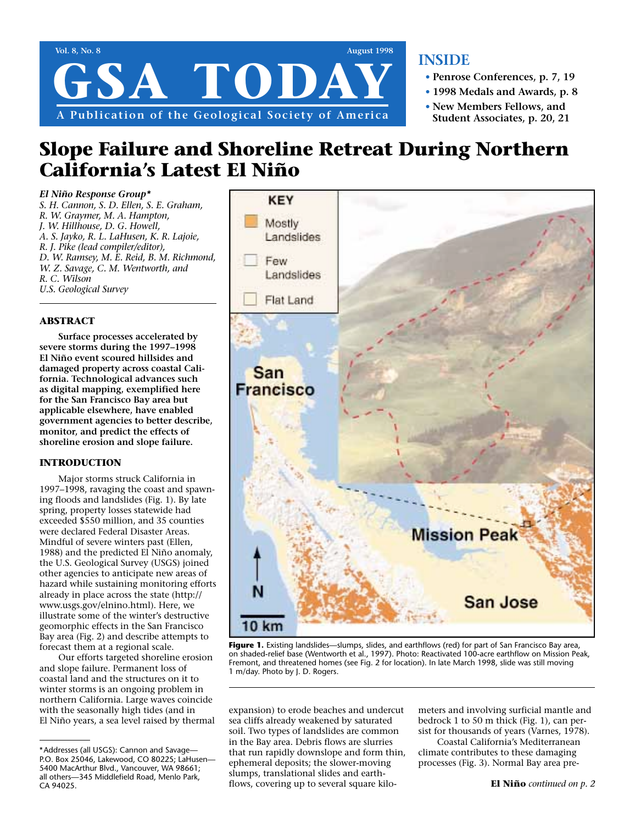

### **INSIDE**

- **• Penrose Conferences, p. 7, 19**
- **• 1998 Medals and Awards, p. 8**
- **• New Members Fellows, and Student Associates, p. 20, 21**

# **Slope Failure and Shoreline Retreat During Northern California's Latest El Niño**

*El Niño Response Group\* S. H. Cannon, S. D. Ellen, S. E. Graham, R. W. Graymer, M. A. Hampton, J. W. Hillhouse, D. G. Howell, A. S. Jayko, R. L. LaHusen, K. R. Lajoie, R. J. Pike (lead compiler/editor), D. W. Ramsey, M. E. Reid, B. M. Richmond, W. Z. Savage, C. M. Wentworth, and R. C. Wilson U.S. Geological Survey*

### **ABSTRACT**

**Surface processes accelerated by severe storms during the 1997–1998 El Niño event scoured hillsides and damaged property across coastal California. Technological advances such as digital mapping, exemplified here for the San Francisco Bay area but applicable elsewhere, have enabled government agencies to better describe, monitor, and predict the effects of shoreline erosion and slope failure.**

### **INTRODUCTION**

Major storms struck California in 1997–1998, ravaging the coast and spawning floods and landslides (Fig. 1). By late spring, property losses statewide had exceeded \$550 million, and 35 counties were declared Federal Disaster Areas. Mindful of severe winters past (Ellen, 1988) and the predicted El Niño anomaly, the U.S. Geological Survey (USGS) joined other agencies to anticipate new areas of hazard while sustaining monitoring efforts already in place across the state (http:// www.usgs.gov/elnino.html). Here, we illustrate some of the winter's destructive geomorphic effects in the San Francisco Bay area (Fig. 2) and describe attempts to forecast them at a regional scale.

Our efforts targeted shoreline erosion and slope failure. Permanent loss of coastal land and the structures on it to winter storms is an ongoing problem in northern California. Large waves coincide with the seasonally high tides (and in El Niño years, a sea level raised by thermal



**Figure 1.** Existing landslides—slumps, slides, and earthflows (red) for part of San Francisco Bay area, on shaded-relief base (Wentworth et al., 1997). Photo: Reactivated 100-acre earthflow on Mission Peak, Fremont, and threatened homes (see Fig. 2 for location). In late March 1998, slide was still moving 1 m/day. Photo by J. D. Rogers.

expansion) to erode beaches and undercut sea cliffs already weakened by saturated soil. Two types of landslides are common in the Bay area. Debris flows are slurries that run rapidly downslope and form thin, ephemeral deposits; the slower-moving slumps, translational slides and earthflows, covering up to several square kilo-

meters and involving surficial mantle and bedrock 1 to 50 m thick (Fig. 1), can persist for thousands of years (Varnes, 1978).

Coastal California's Mediterranean climate contributes to these damaging processes (Fig. 3). Normal Bay area pre-

<sup>\*</sup>Addresses (all USGS): Cannon and Savage— P.O. Box 25046, Lakewood, CO 80225; LaHusen— 5400 MacArthur Blvd., Vancouver, WA 98661; all others—345 Middlefield Road, Menlo Park, CA 94025.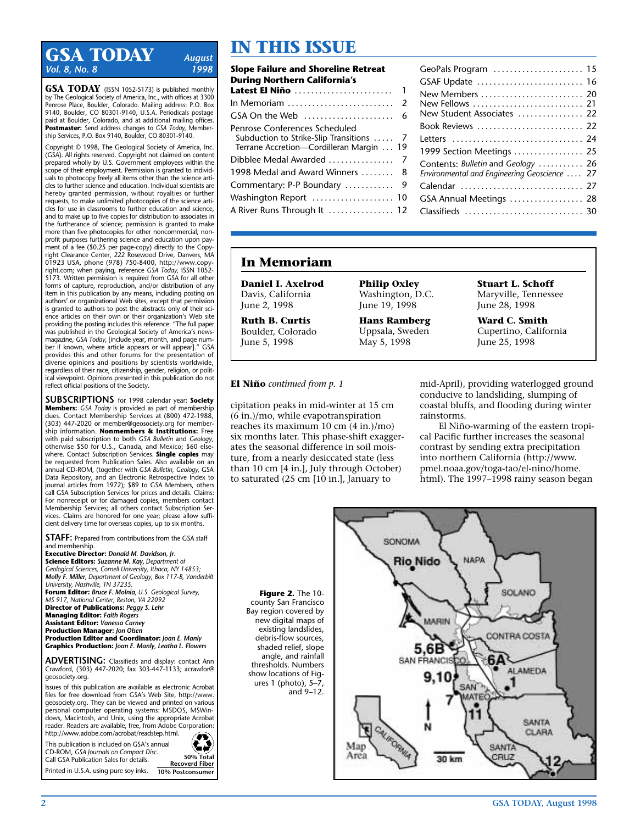### **IN THIS ISSUE**<br>Vol. 8, No. 8<br>1998 **Slope Failure and Shoreline R** *Vol. 8, No. 8*

**GSA TODAY** (ISSN 1052-5173) is published monthly by The Geological Society of America, Inc., with offices at 3300 Penrose Place, Boulder, Colorado. Mailing address: P.O. Box 9140, Boulder, CO 80301-9140, U.S.A. Periodicals postage paid at Boulder, Colorado, and at additional mailing offices. **Postmaster:** Send address changes to *GSA Today,* Membership Services, P.O. Box 9140, Boulder, CO 80301-9140.

Copyright © 1998, The Geological Society of America, Inc. (GSA). All rights reserved. Copyright not claimed on content prepared wholly by U.S. Government employees within the scope of their employment. Permission is granted to individuals to photocopy freely all items other than the science articles to further science and education. Individual scientists are hereby granted permission, without royalties or further requests, to make unlimited photocopies of the science articles for use in classrooms to further education and science, and to make up to five copies for distribution to associates in the furtherance of science; permission is granted to make more than five photocopies for other noncommercial, nonprofit purposes furthering science and education upon payment of a fee (\$0.25 per page-copy) directly to the Copyright Clearance Center, 222 Rosewood Drive, Danvers, MA 01923 USA, phone (978) 750-8400, http://www.copyright.com; when paying, reference *GSA Today,* ISSN 1052- 5173. Written permission is required from GSA for all other forms of capture, reproduction, and/or distribution of any item in this publication by any means, including posting on authors' or organizational Web sites, except that permission is granted to authors to post the abstracts only of their science articles on their own or their organization's Web site providing the posting includes this reference: "The full paper was published in the Geological Society of America's newsmagazine, *GSA Today,* [include year, month, and page number if known, where article appears or will appear]." GSA provides this and other forums for the presentation of diverse opinions and positions by scientists worldwide, regardless of their race, citizenship, gender, religion, or political viewpoint. Opinions presented in this publication do not reflect official positions of the Society.

**SUBSCRIPTIONS** for 1998 calendar year: **Society Members:** *GSA Today* is provided as part of membership dues. Contact Membership Services at (800) 472-1988, (303) 447-2020 or member@geosociety.org for membership information. **Nonmembers & Institutions:** Free with paid subscription to both *GSA Bulletin* and *Geology,* otherwise \$50 for U.S., Canada, and Mexico; \$60 elsewhere. Contact Subscription Services. **Single copies** may be requested from Publication Sales. Also available on an annual CD-ROM, (together with *GSA Bulletin, Geology,* GSA Data Repository, and an Electronic Retrospective Index to journal articles from 1972); \$89 to GSA Members, others call GSA Subscription Services for prices and details. Claims: For nonreceipt or for damaged copies, members contact Membership Services; all others contact Subscription Services. Claims are honored for one year; please allow sufficient delivery time for overseas copies, up to six months.

**STAFF:** Prepared from contributions from the GSA staff and membership.

**Executive Director:** *Donald M. Davidson, Jr.* **Science Editors:** *Suzanne M. Kay, Department of Geological Sciences, Cornell University, Ithaca, NY 14853; Molly F. Miller, Department of Geology, Box 117-B, Vanderbilt University, Nashville, TN 37235.*

**Forum Editor:** *Bruce F. Molnia, U.S. Geological Survey, MS 917, National Center, Reston, VA 22092*

**Director of Publications:** *Peggy S. Lehr* **Managing Editor:** *Faith Rogers* **Assistant Editor:** *Vanessa Carney* **Production Manager:** *Jon Olsen* **Production Editor and Coordinator:** *Joan E. Manly* **Graphics Production:** *Joan E. Manly, Leatha L. Flowers*

**ADVERTISING:** Classifieds and display: contact Ann Crawford, (303) 447-2020; fax 303-447-1133; acrawfor@ geosociety.org.

Issues of this publication are available as electronic Acrobat files for free download from GSA's Web Site, http://www. geosociety.org. They can be viewed and printed on various personal computer operating systems: MSDOS, MSWindows, Macintosh, and Unix, using the appropriate Acrobat reader. Readers are available, free, from Adobe Corporation: http://www.adobe.com/acrobat/readstep.html.

This publication is included on GSA's annual CD-ROM, *GSA Journals on Compact Disc.*  Call GSA Publication Sales for details. Printed in U.S.A. using pure soy inks.



| <b>Slope Failure and Shoreline Retreat</b><br>During Northern California's                                                                        |   |
|---------------------------------------------------------------------------------------------------------------------------------------------------|---|
| Latest El Niño                                                                                                                                    | 1 |
|                                                                                                                                                   |   |
|                                                                                                                                                   |   |
| Penrose Conferences Scheduled<br>Subduction to Strike-Slip Transitions  7<br>Terrane Accretion-Cordilleran Margin  19<br>Dibblee Medal Awarded  7 |   |
| 1998 Medal and Award Winners  8                                                                                                                   |   |
| Commentary: P-P Boundary  9                                                                                                                       |   |
|                                                                                                                                                   |   |
| A River Runs Through It  12                                                                                                                       |   |
|                                                                                                                                                   |   |

| GeoPals Program  15                                                                |  |
|------------------------------------------------------------------------------------|--|
| GSAF Update  16                                                                    |  |
| New Members  20                                                                    |  |
| New Fellows  21<br>New Student Associates  22                                      |  |
| Book Reviews  22                                                                   |  |
| Letters  24                                                                        |  |
| 1999 Section Meetings  25                                                          |  |
| Contents: Bulletin and Geology  26<br>Environmental and Engineering Geoscience  27 |  |
| Calendar  27                                                                       |  |
| GSA Annual Meetings  28                                                            |  |
| Classifieds  30                                                                    |  |
|                                                                                    |  |

### **In Memoriam**

**Daniel I. Axelrod** Davis, California June 2, 1998

**Ruth B. Curtis** Boulder, Colorado June 5, 1998

**Philip Oxley** Washington, D.C. June 19, 1998

**Hans Ramberg** Uppsala, Sweden May 5, 1998

**Stuart L. Schoff** Maryville, Tennessee June 28, 1998

**Ward C. Smith** Cupertino, California June 25, 1998

#### **El Niño** *continued from p. 1*

cipitation peaks in mid-winter at 15 cm (6 in.)/mo, while evapotranspiration reaches its maximum 10 cm (4 in.)/mo) six months later. This phase-shift exaggerates the seasonal difference in soil moisture, from a nearly desiccated state (less than 10 cm [4 in.], July through October) to saturated (25 cm [10 in.], January to

mid-April), providing waterlogged ground conducive to landsliding, slumping of coastal bluffs, and flooding during winter rainstorms.

El Niño-warming of the eastern tropical Pacific further increases the seasonal contrast by sending extra precipitation into northern California (http://www. pmel.noaa.gov/toga-tao/el-nino/home. html). The 1997–1998 rainy season began

**Figure 2.** The 10county San Francisco Bay region covered by new digital maps of existing landslides, debris-flow sources, shaded relief, slope angle, and rainfall thresholds. Numbers show locations of Figures 1 (photo), 5–7, and 9–12.

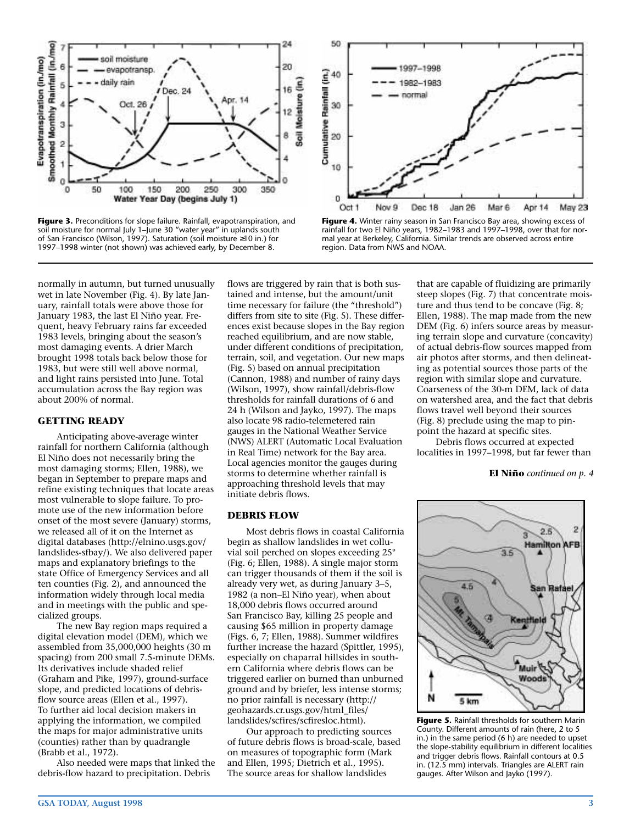

**Figure 3.** Preconditions for slope failure. Rainfall, evapotranspiration, and soil moisture for normal July 1–June 30 "water year" in uplands south of San Francisco (Wilson, 1997). Saturation (soil moisture ≥10 in.) for 1997–1998 winter (not shown) was achieved early, by December 8.



**Figure 4.** Winter rainy season in San Francisco Bay area, showing excess of rainfall for two El Niño years, 1982–1983 and 1997–1998, over that for normal year at Berkeley, California. Similar trends are observed across entire region. Data from NWS and NOAA.

normally in autumn, but turned unusually wet in late November (Fig. 4). By late January, rainfall totals were above those for January 1983, the last El Niño year. Frequent, heavy February rains far exceeded 1983 levels, bringing about the season's most damaging events. A drier March brought 1998 totals back below those for 1983, but were still well above normal, and light rains persisted into June. Total accumulation across the Bay region was about 200% of normal.

#### **GETTING READY**

Anticipating above-average winter rainfall for northern California (although El Niño does not necessarily bring the most damaging storms; Ellen, 1988), we began in September to prepare maps and refine existing techniques that locate areas most vulnerable to slope failure. To promote use of the new information before onset of the most severe (January) storms, we released all of it on the Internet as digital databases (http://elnino.usgs.gov/ landslides-sfbay/). We also delivered paper maps and explanatory briefings to the state Office of Emergency Services and all ten counties (Fig. 2), and announced the information widely through local media and in meetings with the public and specialized groups.

The new Bay region maps required a digital elevation model (DEM), which we assembled from 35,000,000 heights (30 m spacing) from 200 small 7.5-minute DEMs. Its derivatives include shaded relief (Graham and Pike, 1997), ground-surface slope, and predicted locations of debrisflow source areas (Ellen et al., 1997). To further aid local decision makers in applying the information, we compiled the maps for major administrative units (counties) rather than by quadrangle (Brabb et al., 1972).

Also needed were maps that linked the debris-flow hazard to precipitation. Debris

flows are triggered by rain that is both sustained and intense, but the amount/unit time necessary for failure (the "threshold") differs from site to site (Fig. 5). These differences exist because slopes in the Bay region reached equilibrium, and are now stable, under different conditions of precipitation, terrain, soil, and vegetation. Our new maps (Fig. 5) based on annual precipitation (Cannon, 1988) and number of rainy days (Wilson, 1997), show rainfall/debris-flow thresholds for rainfall durations of 6 and 24 h (Wilson and Jayko, 1997). The maps also locate 98 radio-telemetered rain gauges in the National Weather Service (NWS) ALERT (Automatic Local Evaluation in Real Time) network for the Bay area. Local agencies monitor the gauges during storms to determine whether rainfall is approaching threshold levels that may initiate debris flows.

#### **DEBRIS FLOW**

Most debris flows in coastal California begin as shallow landslides in wet colluvial soil perched on slopes exceeding 25° (Fig. 6; Ellen, 1988). A single major storm can trigger thousands of them if the soil is already very wet, as during January 3–5, 1982 (a non–El Niño year), when about 18,000 debris flows occurred around San Francisco Bay, killing 25 people and causing \$65 million in property damage (Figs. 6, 7; Ellen, 1988). Summer wildfires further increase the hazard (Spittler, 1995), especially on chaparral hillsides in southern California where debris flows can be triggered earlier on burned than unburned ground and by briefer, less intense storms; no prior rainfall is necessary (http:// geohazards.cr.usgs.gov/html\_files/ landslides/scfires/scfiresloc.html).

Our approach to predicting sources of future debris flows is broad-scale, based on measures of topographic form (Mark and Ellen, 1995; Dietrich et al., 1995). The source areas for shallow landslides

that are capable of fluidizing are primarily steep slopes (Fig. 7) that concentrate moisture and thus tend to be concave (Fig. 8; Ellen, 1988). The map made from the new DEM (Fig. 6) infers source areas by measuring terrain slope and curvature (concavity) of actual debris-flow sources mapped from air photos after storms, and then delineating as potential sources those parts of the region with similar slope and curvature. Coarseness of the 30-m DEM, lack of data on watershed area, and the fact that debris flows travel well beyond their sources (Fig. 8) preclude using the map to pinpoint the hazard at specific sites.

Debris flows occurred at expected localities in 1997–1998, but far fewer than

#### **El Niño** *continued on p. 4*



**Figure 5.** Rainfall thresholds for southern Marin County. Different amounts of rain (here, 2 to 5 in.) in the same period (6 h) are needed to upset the slope-stability equilibrium in different localities and trigger debris flows. Rainfall contours at 0.5 in. (12.5 mm) intervals. Triangles are ALERT rain gauges. After Wilson and Jayko (1997).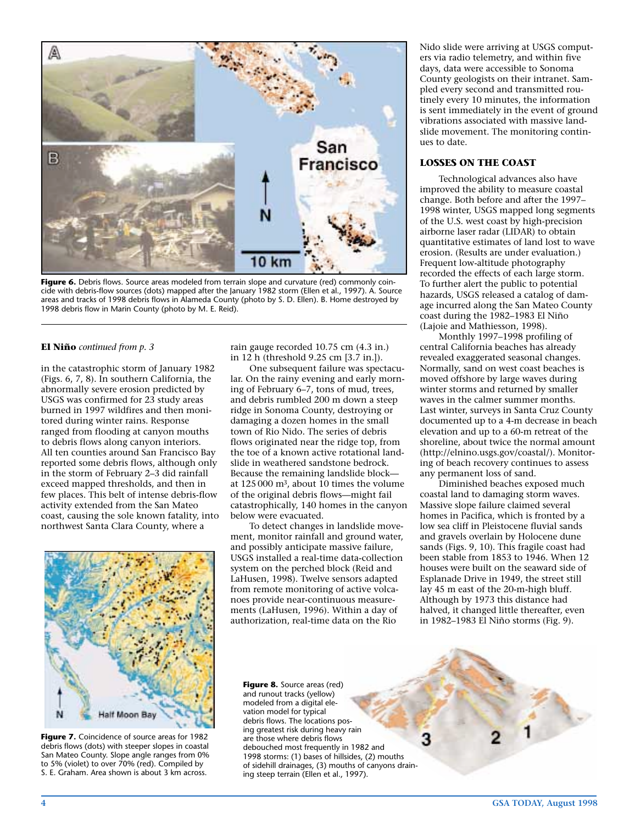

Figure 6. Debris flows. Source areas modeled from terrain slope and curvature (red) commonly coincide with debris-flow sources (dots) mapped after the January 1982 storm (Ellen et al., 1997). A. Source areas and tracks of 1998 debris flows in Alameda County (photo by S. D. Ellen). B. Home destroyed by 1998 debris flow in Marin County (photo by M. E. Reid).

#### **El Niño** *continued from p. 3*

in the catastrophic storm of January 1982 (Figs. 6, 7, 8). In southern California, the abnormally severe erosion predicted by USGS was confirmed for 23 study areas burned in 1997 wildfires and then monitored during winter rains. Response ranged from flooding at canyon mouths to debris flows along canyon interiors. All ten counties around San Francisco Bay reported some debris flows, although only in the storm of February 2–3 did rainfall exceed mapped thresholds, and then in few places. This belt of intense debris-flow activity extended from the San Mateo coast, causing the sole known fatality, into northwest Santa Clara County, where a

Half Moon Bay

**Figure 7.** Coincidence of source areas for 1982 debris flows (dots) with steeper slopes in coastal San Mateo County. Slope angle ranges from 0% to 5% (violet) to over 70% (red). Compiled by S. E. Graham. Area shown is about 3 km across.

rain gauge recorded 10.75 cm (4.3 in.) in 12 h (threshold 9.25 cm [3.7 in.]).

One subsequent failure was spectacular. On the rainy evening and early morning of February 6–7, tons of mud, trees, and debris rumbled 200 m down a steep ridge in Sonoma County, destroying or damaging a dozen homes in the small town of Rio Nido. The series of debris flows originated near the ridge top, from the toe of a known active rotational landslide in weathered sandstone bedrock. Because the remaining landslide block at 125 000 m3, about 10 times the volume of the original debris flows—might fail catastrophically, 140 homes in the canyon below were evacuated.

To detect changes in landslide movement, monitor rainfall and ground water, and possibly anticipate massive failure, USGS installed a real-time data-collection system on the perched block (Reid and LaHusen, 1998). Twelve sensors adapted from remote monitoring of active volcanoes provide near-continuous measurements (LaHusen, 1996). Within a day of authorization, real-time data on the Rio

Nido slide were arriving at USGS computers via radio telemetry, and within five days, data were accessible to Sonoma County geologists on their intranet. Sampled every second and transmitted routinely every 10 minutes, the information is sent immediately in the event of ground vibrations associated with massive landslide movement. The monitoring continues to date.

#### **LOSSES ON THE COAST**

Technological advances also have improved the ability to measure coastal change. Both before and after the 1997– 1998 winter, USGS mapped long segments of the U.S. west coast by high-precision airborne laser radar (LIDAR) to obtain quantitative estimates of land lost to wave erosion. (Results are under evaluation.) Frequent low-altitude photography recorded the effects of each large storm. To further alert the public to potential hazards, USGS released a catalog of damage incurred along the San Mateo County coast during the 1982–1983 El Niño (Lajoie and Mathiesson, 1998).

Monthly 1997–1998 profiling of central California beaches has already revealed exaggerated seasonal changes. Normally, sand on west coast beaches is moved offshore by large waves during winter storms and returned by smaller waves in the calmer summer months. Last winter, surveys in Santa Cruz County documented up to a 4-m decrease in beach elevation and up to a 60-m retreat of the shoreline, about twice the normal amount (http://elnino.usgs.gov/coastal/). Monitoring of beach recovery continues to assess any permanent loss of sand.

Diminished beaches exposed much coastal land to damaging storm waves. Massive slope failure claimed several homes in Pacifica, which is fronted by a low sea cliff in Pleistocene fluvial sands and gravels overlain by Holocene dune sands (Figs. 9, 10). This fragile coast had been stable from 1853 to 1946. When 12 houses were built on the seaward side of Esplanade Drive in 1949, the street still lay 45 m east of the 20-m-high bluff. Although by 1973 this distance had halved, it changed little thereafter, even in 1982–1983 El Niño storms (Fig. 9).

**Figure 8.** Source areas (red) and runout tracks (yellow) modeled from a digital elevation model for typical debris flows. The locations posing greatest risk during heavy rain are those where debris flows debouched most frequently in 1982 and 1998 storms: (1) bases of hillsides, (2) mouths of sidehill drainages, (3) mouths of canyons draining steep terrain (Ellen et al., 1997).

3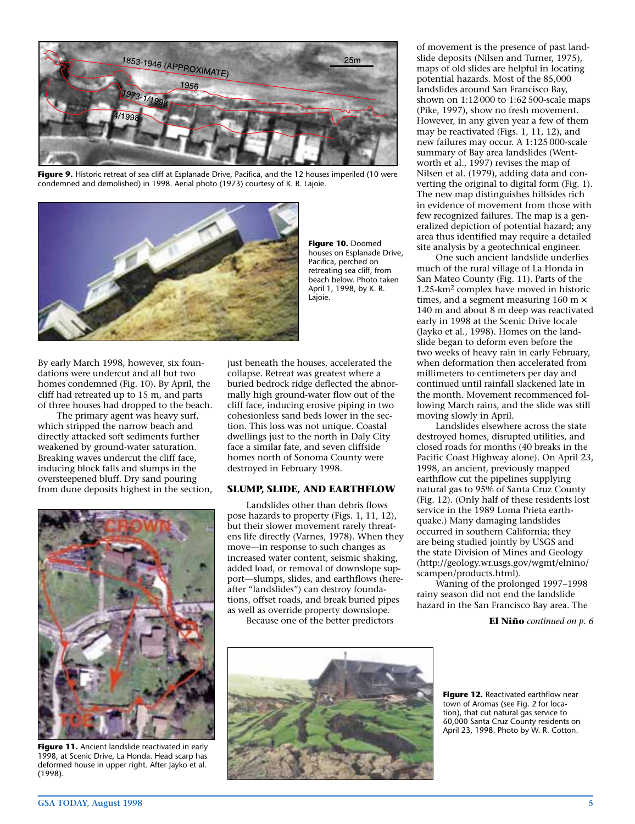

**Figure 9.** Historic retreat of sea cliff at Esplanade Drive, Pacifica, and the 12 houses imperiled (10 were condemned and demolished) in 1998. Aerial photo (1973) courtesy of K. R. Lajoie.



**Figure 10.** Doomed houses on Esplanade Drive, Pacifica, perched on retreating sea cliff, from beach below. Photo taken April 1, 1998, by K. R. Lajoie.

By early March 1998, however, six foundations were undercut and all but two homes condemned (Fig. 10). By April, the cliff had retreated up to 15 m, and parts of three houses had dropped to the beach.

The primary agent was heavy surf, which stripped the narrow beach and directly attacked soft sediments further weakened by ground-water saturation. Breaking waves undercut the cliff face, inducing block falls and slumps in the oversteepened bluff. Dry sand pouring from dune deposits highest in the section,



**Figure 11.** Ancient landslide reactivated in early 1998, at Scenic Drive, La Honda. Head scarp has deformed house in upper right. After Jayko et al. (1998).

just beneath the houses, accelerated the collapse. Retreat was greatest where a buried bedrock ridge deflected the abnormally high ground-water flow out of the cliff face, inducing erosive piping in two cohesionless sand beds lower in the section. This loss was not unique. Coastal dwellings just to the north in Daly City face a similar fate, and seven cliffside homes north of Sonoma County were destroyed in February 1998.

#### **SLUMP, SLIDE, AND EARTHFLOW**

Landslides other than debris flows pose hazards to property (Figs. 1, 11, 12), but their slower movement rarely threatens life directly (Varnes, 1978). When they move—in response to such changes as increased water content, seismic shaking, added load, or removal of downslope support—slumps, slides, and earthflows (hereafter "landslides") can destroy foundations, offset roads, and break buried pipes as well as override property downslope.

Because one of the better predictors

of movement is the presence of past landslide deposits (Nilsen and Turner, 1975), maps of old slides are helpful in locating potential hazards. Most of the 85,000 landslides around San Francisco Bay, shown on 1:12 000 to 1:62 500-scale maps (Pike, 1997), show no fresh movement. However, in any given year a few of them may be reactivated (Figs. 1, 11, 12), and new failures may occur. A 1:125 000-scale summary of Bay area landslides (Wentworth et al., 1997) revises the map of Nilsen et al. (1979), adding data and converting the original to digital form (Fig. 1). The new map distinguishes hillsides rich in evidence of movement from those with few recognized failures. The map is a generalized depiction of potential hazard; any area thus identified may require a detailed site analysis by a geotechnical engineer.

One such ancient landslide underlies much of the rural village of La Honda in San Mateo County (Fig. 11). Parts of the 1.25-km2 complex have moved in historic times, and a segment measuring  $160 \text{ m} \times$ 140 m and about 8 m deep was reactivated early in 1998 at the Scenic Drive locale (Jayko et al., 1998). Homes on the landslide began to deform even before the two weeks of heavy rain in early February, when deformation then accelerated from millimeters to centimeters per day and continued until rainfall slackened late in the month. Movement recommenced following March rains, and the slide was still moving slowly in April.

Landslides elsewhere across the state destroyed homes, disrupted utilities, and closed roads for months (40 breaks in the Pacific Coast Highway alone). On April 23, 1998, an ancient, previously mapped earthflow cut the pipelines supplying natural gas to 95% of Santa Cruz County (Fig. 12). (Only half of these residents lost service in the 1989 Loma Prieta earthquake.) Many damaging landslides occurred in southern California; they are being studied jointly by USGS and the state Division of Mines and Geology (http://geology.wr.usgs.gov/wgmt/elnino/ scampen/products.html).

Waning of the prolonged 1997–1998 rainy season did not end the landslide hazard in the San Francisco Bay area. The

**El Niño** *continued on p. 6*



**Figure 12.** Reactivated earthflow near town of Aromas (see Fig. 2 for location), that cut natural gas service to 60,000 Santa Cruz County residents on April 23, 1998. Photo by W. R. Cotton.